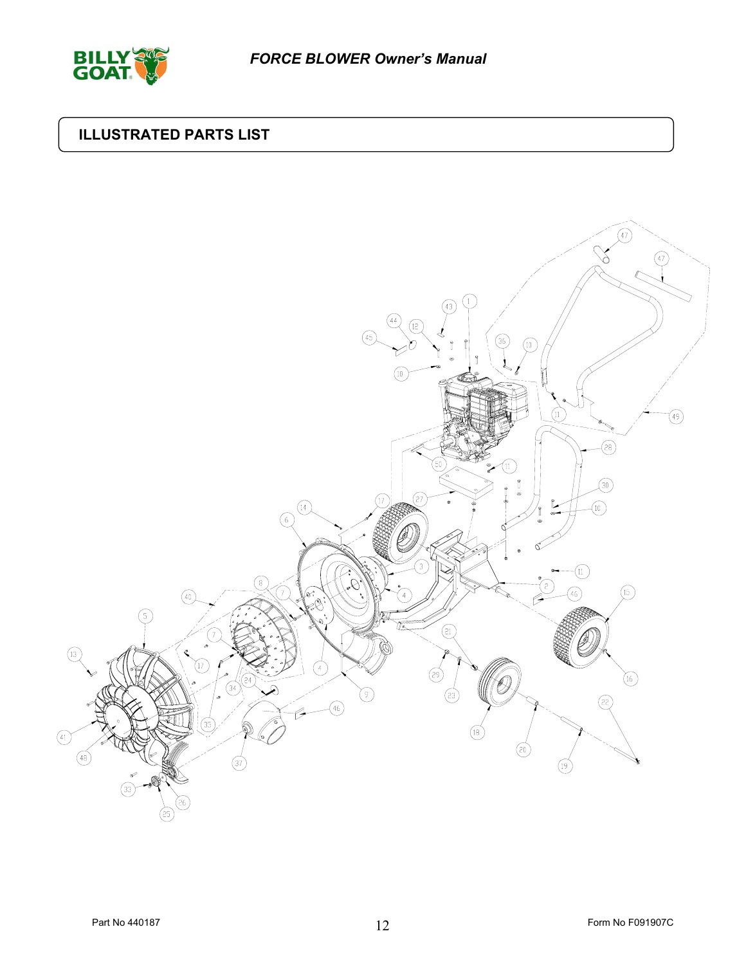

## **ILLUSTRATED PARTS LIST**